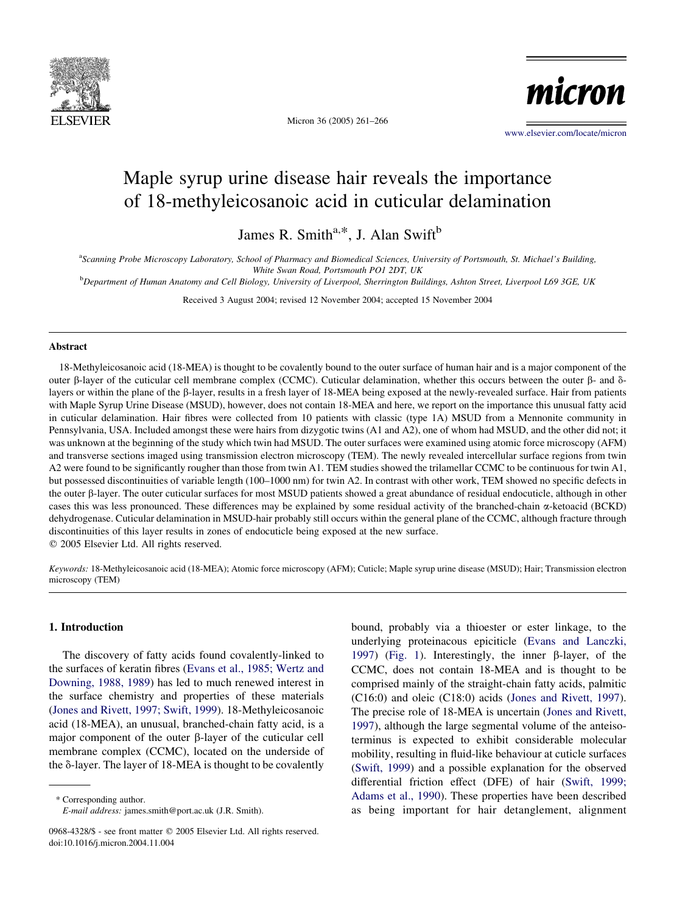

Micron 36 (2005) 261–266

micron

[www.elsevier.com/locate/micron](http://www.elsevier.com/locate/micron)

# Maple syrup urine disease hair reveals the importance of 18-methyleicosanoic acid in cuticular delamination

James R. Smith $a, *$ , J. Alan Swift $b$ 

a Scanning Probe Microscopy Laboratory, School of Pharmacy and Biomedical Sciences, University of Portsmouth, St. Michael's Building, White Swan Road, Portsmouth PO1 2DT, UK

b Department of Human Anatomy and Cell Biology, University of Liverpool, Sherrington Buildings, Ashton Street, Liverpool L69 3GE, UK

Received 3 August 2004; revised 12 November 2004; accepted 15 November 2004

#### Abstract

18-Methyleicosanoic acid (18-MEA) is thought to be covalently bound to the outer surface of human hair and is a major component of the outer  $\beta$ -layer of the cuticular cell membrane complex (CCMC). Cuticular delamination, whether this occurs between the outer  $\beta$ - and  $\delta$ layers or within the plane of the b-layer, results in a fresh layer of 18-MEA being exposed at the newly-revealed surface. Hair from patients with Maple Syrup Urine Disease (MSUD), however, does not contain 18-MEA and here, we report on the importance this unusual fatty acid in cuticular delamination. Hair fibres were collected from 10 patients with classic (type 1A) MSUD from a Mennonite community in Pennsylvania, USA. Included amongst these were hairs from dizygotic twins (A1 and A2), one of whom had MSUD, and the other did not; it was unknown at the beginning of the study which twin had MSUD. The outer surfaces were examined using atomic force microscopy (AFM) and transverse sections imaged using transmission electron microscopy (TEM). The newly revealed intercellular surface regions from twin A2 were found to be significantly rougher than those from twin A1. TEM studies showed the trilamellar CCMC to be continuous for twin A1, but possessed discontinuities of variable length (100–1000 nm) for twin A2. In contrast with other work, TEM showed no specific defects in the outer  $\beta$ -layer. The outer cuticular surfaces for most MSUD patients showed a great abundance of residual endocuticle, although in other cases this was less pronounced. These differences may be explained by some residual activity of the branched-chain a-ketoacid (BCKD) dehydrogenase. Cuticular delamination in MSUD-hair probably still occurs within the general plane of the CCMC, although fracture through discontinuities of this layer results in zones of endocuticle being exposed at the new surface.

 $© 2005 Elsevier Ltd. All rights reserved.$ 

Keywords: 18-Methyleicosanoic acid (18-MEA); Atomic force microscopy (AFM); Cuticle; Maple syrup urine disease (MSUD); Hair; Transmission electron microscopy (TEM)

# 1. Introduction

The discovery of fatty acids found covalently-linked to the surfaces of keratin fibres ([Evans et al., 1985; Wertz and](#page-5-0) [Downing, 1988, 1989\)](#page-5-0) has led to much renewed interest in the surface chemistry and properties of these materials ([Jones and Rivett, 1997; Swift, 1999\)](#page-5-0). 18-Methyleicosanoic acid (18-MEA), an unusual, branched-chain fatty acid, is a major component of the outer  $\beta$ -layer of the cuticular cell membrane complex (CCMC), located on the underside of the  $\delta$ -layer. The layer of 18-MEA is thought to be covalently

\* Corresponding author.

E-mail address: james.smith@port.ac.uk (J.R. Smith).

bound, probably via a thioester or ester linkage, to the underlying proteinacous epiciticle ([Evans and Lanczki,](#page-5-0) [1997](#page-5-0)) [\(Fig. 1\)](#page-1-0). Interestingly, the inner  $\beta$ -layer, of the CCMC, does not contain 18-MEA and is thought to be comprised mainly of the straight-chain fatty acids, palmitic (C16:0) and oleic (C18:0) acids [\(Jones and Rivett, 1997\)](#page-5-0). The precise role of 18-MEA is uncertain [\(Jones and Rivett,](#page-5-0) [1997](#page-5-0)), although the large segmental volume of the anteisoterminus is expected to exhibit considerable molecular mobility, resulting in fluid-like behaviour at cuticle surfaces ([Swift, 1999\)](#page-5-0) and a possible explanation for the observed differential friction effect (DFE) of hair ([Swift, 1999;](#page-5-0) [Adams et al., 1990\)](#page-5-0). These properties have been described as being important for hair detanglement, alignment

<sup>0968-4328/\$ -</sup> see front matter © 2005 Elsevier Ltd. All rights reserved. doi:10.1016/j.micron.2004.11.004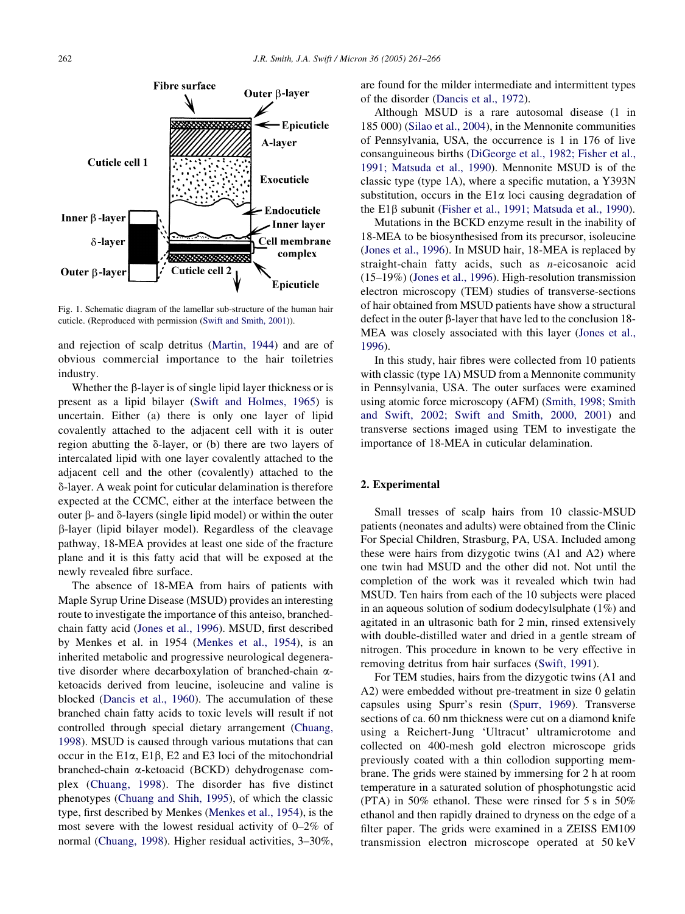<span id="page-1-0"></span>

Fig. 1. Schematic diagram of the lamellar sub-structure of the human hair cuticle. (Reproduced with permission [\(Swift and Smith, 2001](#page-5-0))).

and rejection of scalp detritus [\(Martin, 1944](#page-5-0)) and are of obvious commercial importance to the hair toiletries industry.

Whether the  $\beta$ -layer is of single lipid layer thickness or is present as a lipid bilayer ([Swift and Holmes, 1965](#page-5-0)) is uncertain. Either (a) there is only one layer of lipid covalently attached to the adjacent cell with it is outer region abutting the  $\delta$ -layer, or (b) there are two layers of intercalated lipid with one layer covalently attached to the adjacent cell and the other (covalently) attached to the d-layer. A weak point for cuticular delamination is therefore expected at the CCMC, either at the interface between the outer  $\beta$ - and  $\delta$ -layers (single lipid model) or within the outer b-layer (lipid bilayer model). Regardless of the cleavage pathway, 18-MEA provides at least one side of the fracture plane and it is this fatty acid that will be exposed at the newly revealed fibre surface.

The absence of 18-MEA from hairs of patients with Maple Syrup Urine Disease (MSUD) provides an interesting route to investigate the importance of this anteiso, branchedchain fatty acid ([Jones et al., 1996](#page-5-0)). MSUD, first described by Menkes et al. in 1954 [\(Menkes et al., 1954\)](#page-5-0), is an inherited metabolic and progressive neurological degenerative disorder where decarboxylation of branched-chain  $\alpha$ ketoacids derived from leucine, isoleucine and valine is blocked ([Dancis et al., 1960](#page-5-0)). The accumulation of these branched chain fatty acids to toxic levels will result if not controlled through special dietary arrangement [\(Chuang,](#page-5-0) [1998\)](#page-5-0). MSUD is caused through various mutations that can occur in the  $E1\alpha$ ,  $E1\beta$ ,  $E2$  and  $E3$  loci of the mitochondrial branched-chain a-ketoacid (BCKD) dehydrogenase complex ([Chuang, 1998\)](#page-5-0). The disorder has five distinct phenotypes ([Chuang and Shih, 1995\)](#page-5-0), of which the classic type, first described by Menkes ([Menkes et al., 1954](#page-5-0)), is the most severe with the lowest residual activity of 0–2% of normal [\(Chuang, 1998](#page-5-0)). Higher residual activities, 3–30%,

are found for the milder intermediate and intermittent types of the disorder [\(Dancis et al., 1972\)](#page-5-0).

Although MSUD is a rare autosomal disease (1 in 185 000) [\(Silao et al., 2004](#page-5-0)), in the Mennonite communities of Pennsylvania, USA, the occurrence is 1 in 176 of live consanguineous births [\(DiGeorge et al., 1982; Fisher et al.,](#page-5-0) [1991; Matsuda et al., 1990\)](#page-5-0). Mennonite MSUD is of the classic type (type 1A), where a specific mutation, a Y393N substitution, occurs in the  $E1\alpha$  loci causing degradation of the E1 $\beta$  subunit [\(Fisher et al., 1991; Matsuda et al., 1990](#page-5-0)).

Mutations in the BCKD enzyme result in the inability of 18-MEA to be biosynthesised from its precursor, isoleucine ([Jones et al., 1996\)](#page-5-0). In MSUD hair, 18-MEA is replaced by straight-chain fatty acids, such as n-eicosanoic acid (15–19%) [\(Jones et al., 1996](#page-5-0)). High-resolution transmission electron microscopy (TEM) studies of transverse-sections of hair obtained from MSUD patients have show a structural defect in the outer  $\beta$ -layer that have led to the conclusion 18-MEA was closely associated with this layer [\(Jones et al.,](#page-5-0) [1996\)](#page-5-0).

In this study, hair fibres were collected from 10 patients with classic (type 1A) MSUD from a Mennonite community in Pennsylvania, USA. The outer surfaces were examined using atomic force microscopy (AFM) [\(Smith, 1998; Smith](#page-5-0) [and Swift, 2002; Swift and Smith, 2000, 2001](#page-5-0)) and transverse sections imaged using TEM to investigate the importance of 18-MEA in cuticular delamination.

## 2. Experimental

Small tresses of scalp hairs from 10 classic-MSUD patients (neonates and adults) were obtained from the Clinic For Special Children, Strasburg, PA, USA. Included among these were hairs from dizygotic twins (A1 and A2) where one twin had MSUD and the other did not. Not until the completion of the work was it revealed which twin had MSUD. Ten hairs from each of the 10 subjects were placed in an aqueous solution of sodium dodecylsulphate (1%) and agitated in an ultrasonic bath for 2 min, rinsed extensively with double-distilled water and dried in a gentle stream of nitrogen. This procedure in known to be very effective in removing detritus from hair surfaces [\(Swift, 1991](#page-5-0)).

For TEM studies, hairs from the dizygotic twins (A1 and A2) were embedded without pre-treatment in size 0 gelatin capsules using Spurr's resin [\(Spurr, 1969\)](#page-5-0). Transverse sections of ca. 60 nm thickness were cut on a diamond knife using a Reichert-Jung 'Ultracut' ultramicrotome and collected on 400-mesh gold electron microscope grids previously coated with a thin collodion supporting membrane. The grids were stained by immersing for 2 h at room temperature in a saturated solution of phosphotungstic acid (PTA) in 50% ethanol. These were rinsed for 5 s in 50% ethanol and then rapidly drained to dryness on the edge of a filter paper. The grids were examined in a ZEISS EM109 transmission electron microscope operated at 50 keV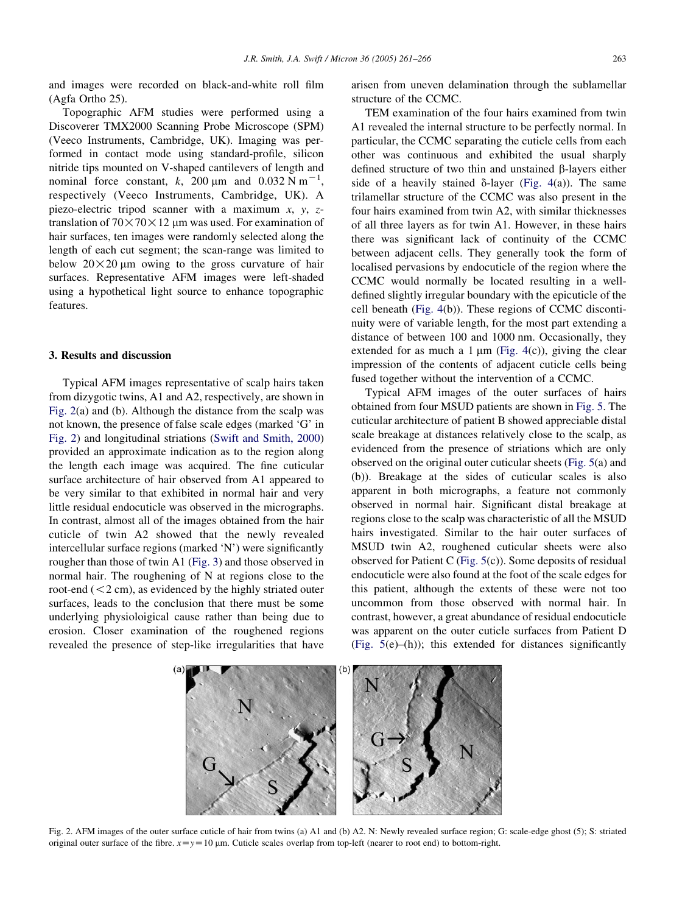and images were recorded on black-and-white roll film (Agfa Ortho 25).

Topographic AFM studies were performed using a Discoverer TMX2000 Scanning Probe Microscope (SPM) (Veeco Instruments, Cambridge, UK). Imaging was performed in contact mode using standard-profile, silicon nitride tips mounted on V-shaped cantilevers of length and nominal force constant, k, 200  $\mu$ m and 0.032 N m<sup>-1</sup>, respectively (Veeco Instruments, Cambridge, UK). A piezo-electric tripod scanner with a maximum  $x$ ,  $y$ ,  $z$ translation of  $70 \times 70 \times 12$  µm was used. For examination of hair surfaces, ten images were randomly selected along the length of each cut segment; the scan-range was limited to below  $20 \times 20$  µm owing to the gross curvature of hair surfaces. Representative AFM images were left-shaded using a hypothetical light source to enhance topographic features.

## 3. Results and discussion

Typical AFM images representative of scalp hairs taken from dizygotic twins, A1 and A2, respectively, are shown in Fig. 2(a) and (b). Although the distance from the scalp was not known, the presence of false scale edges (marked 'G' in Fig. 2) and longitudinal striations ([Swift and Smith, 2000](#page-5-0)) provided an approximate indication as to the region along the length each image was acquired. The fine cuticular surface architecture of hair observed from A1 appeared to be very similar to that exhibited in normal hair and very little residual endocuticle was observed in the micrographs. In contrast, almost all of the images obtained from the hair cuticle of twin A2 showed that the newly revealed intercellular surface regions (marked 'N') were significantly rougher than those of twin A1 ([Fig. 3\)](#page-3-0) and those observed in normal hair. The roughening of N at regions close to the root-end  $(< 2 \text{ cm})$ , as evidenced by the highly striated outer surfaces, leads to the conclusion that there must be some underlying physioloigical cause rather than being due to erosion. Closer examination of the roughened regions revealed the presence of step-like irregularities that have

arisen from uneven delamination through the sublamellar structure of the CCMC.

TEM examination of the four hairs examined from twin A1 revealed the internal structure to be perfectly normal. In particular, the CCMC separating the cuticle cells from each other was continuous and exhibited the usual sharply defined structure of two thin and unstained  $\beta$ -layers either side of a heavily stained  $\delta$ -layer [\(Fig. 4](#page-3-0)(a)). The same trilamellar structure of the CCMC was also present in the four hairs examined from twin A2, with similar thicknesses of all three layers as for twin A1. However, in these hairs there was significant lack of continuity of the CCMC between adjacent cells. They generally took the form of localised pervasions by endocuticle of the region where the CCMC would normally be located resulting in a welldefined slightly irregular boundary with the epicuticle of the cell beneath [\(Fig. 4](#page-3-0)(b)). These regions of CCMC discontinuity were of variable length, for the most part extending a distance of between 100 and 1000 nm. Occasionally, they extended for as much a 1  $\mu$ m ([Fig. 4](#page-3-0)(c)), giving the clear impression of the contents of adjacent cuticle cells being fused together without the intervention of a CCMC.

Typical AFM images of the outer surfaces of hairs obtained from four MSUD patients are shown in [Fig. 5](#page-4-0). The cuticular architecture of patient B showed appreciable distal scale breakage at distances relatively close to the scalp, as evidenced from the presence of striations which are only observed on the original outer cuticular sheets ([Fig. 5\(](#page-4-0)a) and (b)). Breakage at the sides of cuticular scales is also apparent in both micrographs, a feature not commonly observed in normal hair. Significant distal breakage at regions close to the scalp was characteristic of all the MSUD hairs investigated. Similar to the hair outer surfaces of MSUD twin A2, roughened cuticular sheets were also observed for Patient C [\(Fig. 5](#page-4-0)(c)). Some deposits of residual endocuticle were also found at the foot of the scale edges for this patient, although the extents of these were not too uncommon from those observed with normal hair. In contrast, however, a great abundance of residual endocuticle was apparent on the outer cuticle surfaces from Patient D ([Fig. 5](#page-4-0)(e)–(h)); this extended for distances significantly



Fig. 2. AFM images of the outer surface cuticle of hair from twins (a) A1 and (b) A2. N: Newly revealed surface region; G: scale-edge ghost (5); S: striated original outer surface of the fibre.  $x=y=10$  µm. Cuticle scales overlap from top-left (nearer to root end) to bottom-right.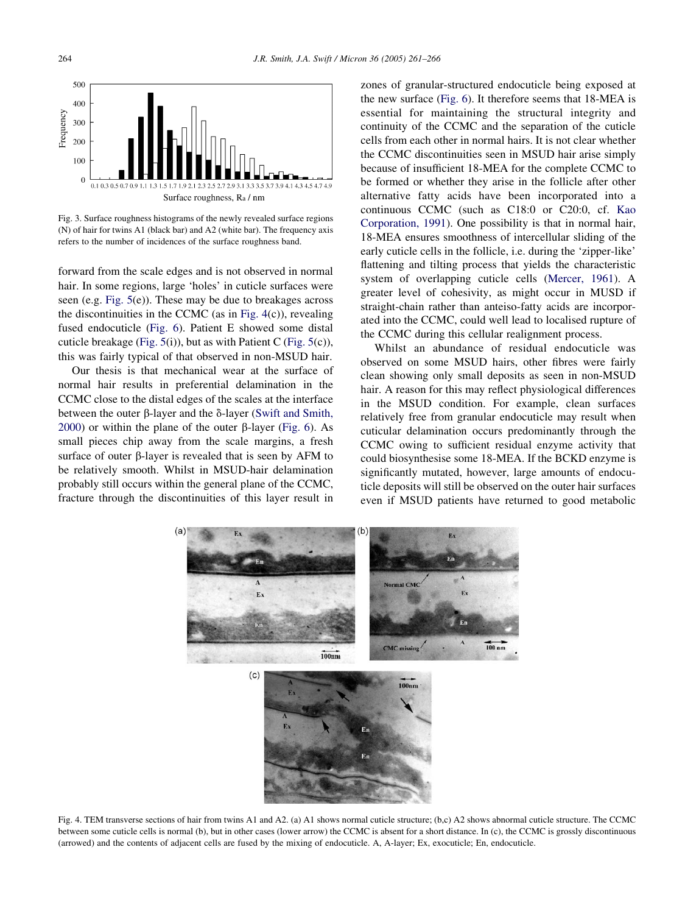<span id="page-3-0"></span>

Fig. 3. Surface roughness histograms of the newly revealed surface regions (N) of hair for twins A1 (black bar) and A2 (white bar). The frequency axis refers to the number of incidences of the surface roughness band.

forward from the scale edges and is not observed in normal hair. In some regions, large 'holes' in cuticle surfaces were seen (e.g. [Fig. 5](#page-4-0)(e)). These may be due to breakages across the discontinuities in the CCMC (as in Fig.  $4(c)$ ), revealing fused endocuticle [\(Fig. 6](#page-4-0)). Patient E showed some distal cuticle breakage [\(Fig. 5](#page-4-0)(i)), but as with Patient C ([Fig. 5\(](#page-4-0)c)), this was fairly typical of that observed in non-MSUD hair.

Our thesis is that mechanical wear at the surface of normal hair results in preferential delamination in the CCMC close to the distal edges of the scales at the interface between the outer  $\beta$ -layer and the  $\delta$ -layer [\(Swift and Smith,](#page-5-0) [2000\)](#page-5-0) or within the plane of the outer  $\beta$ -layer [\(Fig. 6\)](#page-4-0). As small pieces chip away from the scale margins, a fresh surface of outer  $\beta$ -layer is revealed that is seen by AFM to be relatively smooth. Whilst in MSUD-hair delamination probably still occurs within the general plane of the CCMC, fracture through the discontinuities of this layer result in

zones of granular-structured endocuticle being exposed at the new surface ([Fig. 6\)](#page-4-0). It therefore seems that 18-MEA is essential for maintaining the structural integrity and continuity of the CCMC and the separation of the cuticle cells from each other in normal hairs. It is not clear whether the CCMC discontinuities seen in MSUD hair arise simply because of insufficient 18-MEA for the complete CCMC to be formed or whether they arise in the follicle after other alternative fatty acids have been incorporated into a continuous CCMC (such as C18:0 or C20:0, cf. [Kao](#page-5-0) [Corporation, 1991](#page-5-0)). One possibility is that in normal hair, 18-MEA ensures smoothness of intercellular sliding of the early cuticle cells in the follicle, i.e. during the 'zipper-like' flattening and tilting process that yields the characteristic system of overlapping cuticle cells [\(Mercer, 1961\)](#page-5-0). A greater level of cohesivity, as might occur in MUSD if straight-chain rather than anteiso-fatty acids are incorporated into the CCMC, could well lead to localised rupture of the CCMC during this cellular realignment process.

Whilst an abundance of residual endocuticle was observed on some MSUD hairs, other fibres were fairly clean showing only small deposits as seen in non-MSUD hair. A reason for this may reflect physiological differences in the MSUD condition. For example, clean surfaces relatively free from granular endocuticle may result when cuticular delamination occurs predominantly through the CCMC owing to sufficient residual enzyme activity that could biosynthesise some 18-MEA. If the BCKD enzyme is significantly mutated, however, large amounts of endocuticle deposits will still be observed on the outer hair surfaces even if MSUD patients have returned to good metabolic



Fig. 4. TEM transverse sections of hair from twins A1 and A2. (a) A1 shows normal cuticle structure; (b,c) A2 shows abnormal cuticle structure. The CCMC between some cuticle cells is normal (b), but in other cases (lower arrow) the CCMC is absent for a short distance. In (c), the CCMC is grossly discontinuous (arrowed) and the contents of adjacent cells are fused by the mixing of endocuticle. A, A-layer; Ex, exocuticle; En, endocuticle.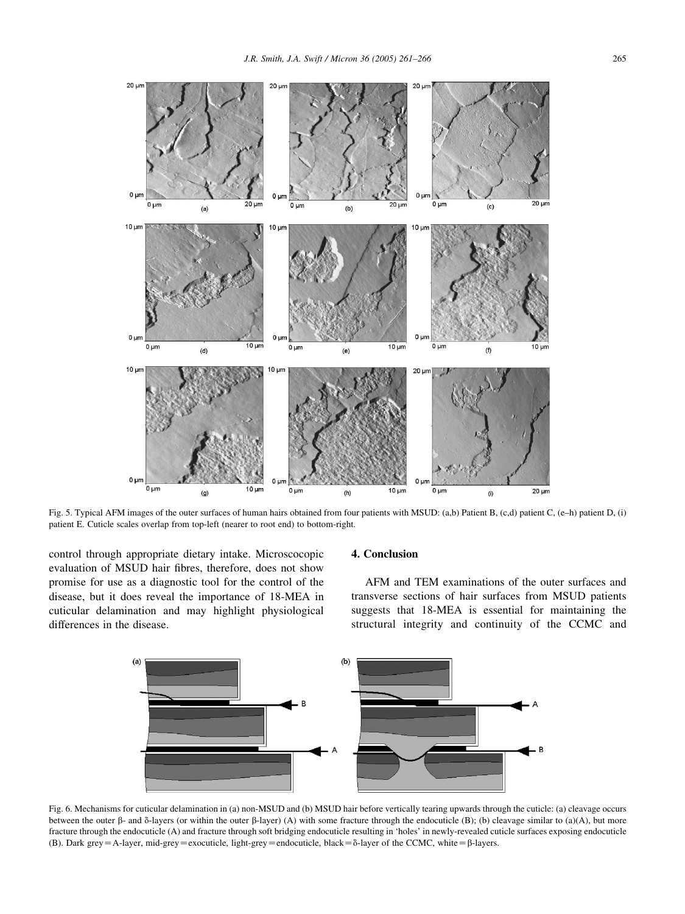<span id="page-4-0"></span>

Fig. 5. Typical AFM images of the outer surfaces of human hairs obtained from four patients with MSUD: (a,b) Patient B, (c,d) patient C, (e–h) patient D, (i) patient E. Cuticle scales overlap from top-left (nearer to root end) to bottom-right.

control through appropriate dietary intake. Microscocopic evaluation of MSUD hair fibres, therefore, does not show promise for use as a diagnostic tool for the control of the disease, but it does reveal the importance of 18-MEA in cuticular delamination and may highlight physiological differences in the disease.

## 4. Conclusion

AFM and TEM examinations of the outer surfaces and transverse sections of hair surfaces from MSUD patients suggests that 18-MEA is essential for maintaining the structural integrity and continuity of the CCMC and



Fig. 6. Mechanisms for cuticular delamination in (a) non-MSUD and (b) MSUD hair before vertically tearing upwards through the cuticle: (a) cleavage occurs between the outer  $\beta$ - and  $\delta$ -layers (or within the outer  $\beta$ -layer) (A) with some fracture through the endocuticle (B); (b) cleavage similar to (a)(A), but more fracture through the endocuticle (A) and fracture through soft bridging endocuticle resulting in 'holes' in newly-revealed cuticle surfaces exposing endocuticle (B). Dark grey = A-layer, mid-grey = exocuticle, light-grey = endocuticle, black =  $\delta$ -layer of the CCMC, white =  $\beta$ -layers.